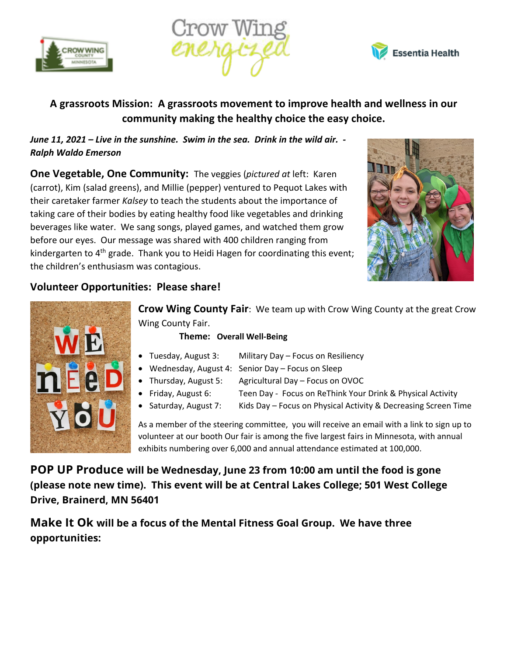





## **A grassroots Mission: A grassroots movement to improve health and wellness in our community making the healthy choice the easy choice.**

*June 11, 2021 – Live in the sunshine. Swim in the sea. Drink in the wild air. - Ralph Waldo Emerson*

**One Vegetable, One Community:** The veggies (*pictured at* left: Karen (carrot), Kim (salad greens), and Millie (pepper) ventured to Pequot Lakes with their caretaker farmer *Kalsey* to teach the students about the importance of taking care of their bodies by eating healthy food like vegetables and drinking beverages like water. We sang songs, played games, and watched them grow before our eyes. Our message was shared with 400 children ranging from kindergarten to 4<sup>th</sup> grade. Thank you to Heidi Hagen for coordinating this event; the children's enthusiasm was contagious.



## **Volunteer Opportunities: Please share!**



**Crow Wing County Fair**: We team up with Crow Wing County at the great Crow Wing County Fair.

## **Theme: Overall Well-Being**

- Tuesday, August 3: Military Day Focus on Resiliency
- Wednesday, August 4: Senior Day Focus on Sleep
- Thursday, August 5: Agricultural Day Focus on OVOC
	-
- -
- Friday, August 6: Teen Day Focus on ReThink Your Drink & Physical Activity
- Saturday, August 7: Kids Day Focus on Physical Activity & Decreasing Screen Time

As a member of the steering committee, you will receive an email with a link to sign up to volunteer at our booth Our fair is among the five largest fairs in Minnesota, with annual exhibits numbering over 6,000 and annual attendance estimated at 100,000.

**POP UP Produce will be Wednesday, June 23 from 10:00 am until the food is gone (please note new time). This event will be at Central Lakes College; 501 West College Drive, Brainerd, MN 56401**

**Make It Ok will be a focus of the Mental Fitness Goal Group. We have three opportunities:**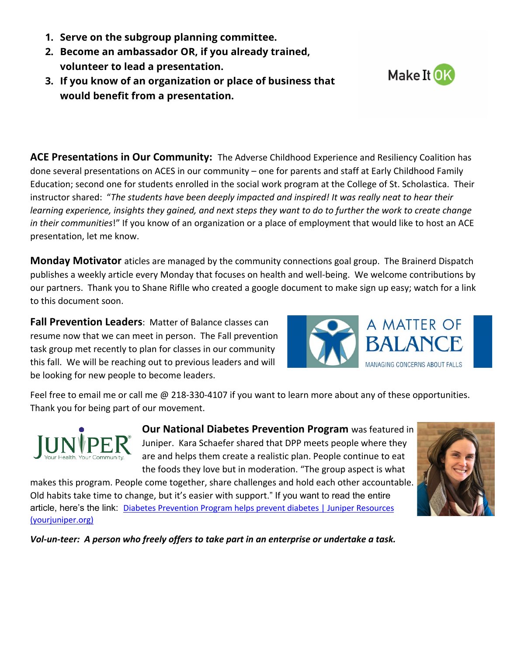- **1. Serve on the subgroup planning committee.**
- **2. Become an ambassador OR, if you already trained, volunteer to lead a presentation.**
- **3. If you know of an organization or place of business that would benefit from a presentation.**

**ACE Presentations in Our Community:** The Adverse Childhood Experience and Resiliency Coalition has done several presentations on ACES in our community – one for parents and staff at Early Childhood Family Education; second one for students enrolled in the social work program at the College of St. Scholastica. Their instructor shared: "*The students have been deeply impacted and inspired! It was really neat to hear their learning experience, insights they gained, and next steps they want to do to further the work to create change in their communities*!" If you know of an organization or a place of employment that would like to host an ACE presentation, let me know.

**Monday Motivator** aticles are managed by the community connections goal group. The Brainerd Dispatch publishes a weekly article every Monday that focuses on health and well-being. We welcome contributions by our partners. Thank you to Shane Riflle who created a google document to make sign up easy; watch for a link to this document soon.

**Fall Prevention Leaders**: Matter of Balance classes can resume now that we can meet in person. The Fall prevention task group met recently to plan for classes in our community this fall. We will be reaching out to previous leaders and will be looking for new people to become leaders.



Feel free to email me or call me @ 218-330-4107 if you want to learn more about any of these opportunities. Thank you for being part of our movement.



**Our National Diabetes Prevention Program** was featured in Juniper. Kara Schaefer shared that DPP meets people where they are and helps them create a realistic plan. People continue to eat the foods they love but in moderation. "The group aspect is what

makes this program. People come together, share challenges and hold each other accountable. Old habits take time to change, but it's easier with support." If you want to read the entire article, here's the link: Diabetes Prevention Program helps prevent diabetes | Juniper Resources (yourjuniper.org)